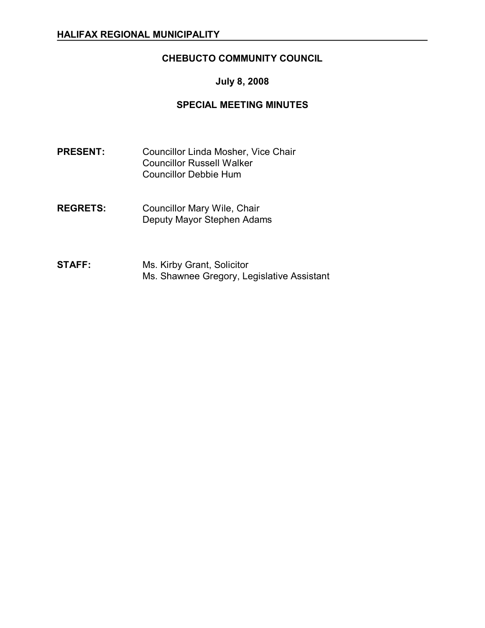## **CHEBUCTO COMMUNITY COUNCIL**

## **July 8, 2008**

### **SPECIAL MEETING MINUTES**

- **PRESENT:** Councillor Linda Mosher, Vice Chair Councillor Russell Walker Councillor Debbie Hum
- **REGRETS:** Councillor Mary Wile, Chair Deputy Mayor Stephen Adams
- **STAFF:** Ms. Kirby Grant, Solicitor Ms. Shawnee Gregory, Legislative Assistant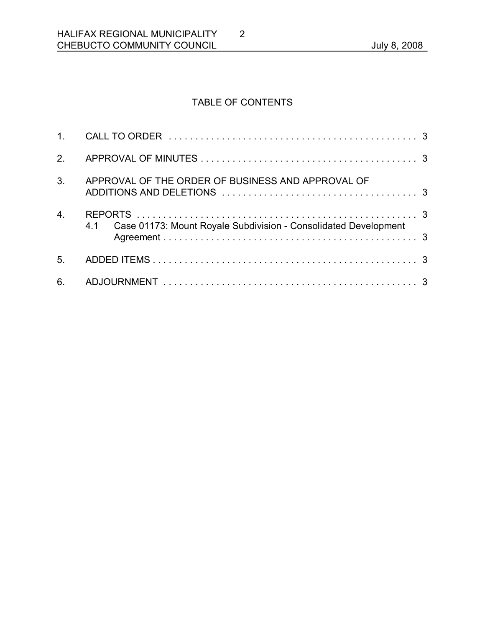# TABLE OF CONTENTS

2

| 2 <sub>1</sub>   |                                                                     |  |
|------------------|---------------------------------------------------------------------|--|
| 3 <sub>l</sub>   | APPROVAL OF THE ORDER OF BUSINESS AND APPROVAL OF                   |  |
| $\overline{4}$ . | 4.1 Case 01173: Mount Royale Subdivision - Consolidated Development |  |
| 5.               |                                                                     |  |
| 6.               |                                                                     |  |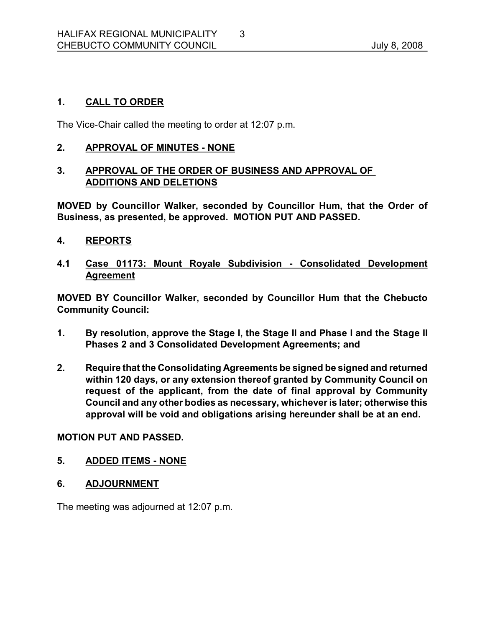#### **1. CALL TO ORDER**

The Vice-Chair called the meeting to order at 12:07 p.m.

#### **2. APPROVAL OF MINUTES NONE**

#### **3. APPROVAL OF THE ORDER OF BUSINESS AND APPROVAL OF ADDITIONS AND DELETIONS**

**MOVED by Councillor Walker, seconded by Councillor Hum, that the Order of Business, as presented, be approved. MOTION PUT AND PASSED.** 

- **4. REPORTS**
- **4.1 Case 01173: Mount Royale Subdivision Consolidated Development Agreement**

**MOVED BY Councillor Walker, seconded by Councillor Hum that the Chebucto Community Council:**

- **1. By resolution, approve the Stage I, the Stage II and Phase I and the Stage II Phases 2 and 3 Consolidated Development Agreements; and**
- **2. Require that the Consolidating Agreements be signed be signed and returned within 120 days, or any extension thereof granted by Community Council on request of the applicant, from the date of final approval by Community Council and any other bodies as necessary, whichever is later; otherwise this approval will be void and obligations arising hereunder shall be at an end.**

#### **MOTION PUT AND PASSED.**

#### **5. ADDED ITEMS NONE**

**6. ADJOURNMENT**

The meeting was adjourned at 12:07 p.m.